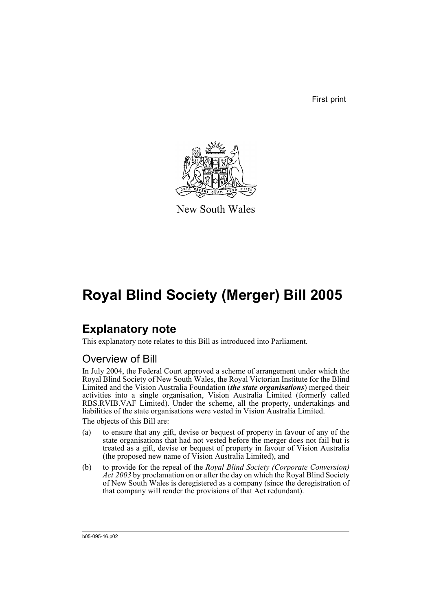First print



New South Wales

## **Royal Blind Society (Merger) Bill 2005**

## **Explanatory note**

This explanatory note relates to this Bill as introduced into Parliament.

### Overview of Bill

In July 2004, the Federal Court approved a scheme of arrangement under which the Royal Blind Society of New South Wales, the Royal Victorian Institute for the Blind Limited and the Vision Australia Foundation (*the state organisations*) merged their activities into a single organisation, Vision Australia Limited (formerly called RBS.RVIB.VAF Limited). Under the scheme, all the property, undertakings and liabilities of the state organisations were vested in Vision Australia Limited.

The objects of this Bill are:

- (a) to ensure that any gift, devise or bequest of property in favour of any of the state organisations that had not vested before the merger does not fail but is treated as a gift, devise or bequest of property in favour of Vision Australia (the proposed new name of Vision Australia Limited), and
- (b) to provide for the repeal of the *Royal Blind Society (Corporate Conversion) Act 2003* by proclamation on or after the day on which the Royal Blind Society of New South Wales is deregistered as a company (since the deregistration of that company will render the provisions of that Act redundant).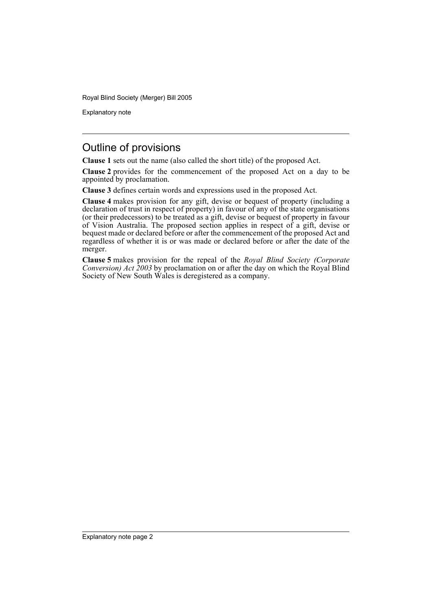Royal Blind Society (Merger) Bill 2005

Explanatory note

#### Outline of provisions

**Clause 1** sets out the name (also called the short title) of the proposed Act.

**Clause 2** provides for the commencement of the proposed Act on a day to be appointed by proclamation.

**Clause 3** defines certain words and expressions used in the proposed Act.

**Clause 4** makes provision for any gift, devise or bequest of property (including a declaration of trust in respect of property) in favour of any of the state organisations (or their predecessors) to be treated as a gift, devise or bequest of property in favour of Vision Australia. The proposed section applies in respect of a gift, devise or bequest made or declared before or after the commencement of the proposed Act and regardless of whether it is or was made or declared before or after the date of the merger.

**Clause 5** makes provision for the repeal of the *Royal Blind Society (Corporate Conversion) Act 2003* by proclamation on or after the day on which the Royal Blind Society of New South Wales is deregistered as a company.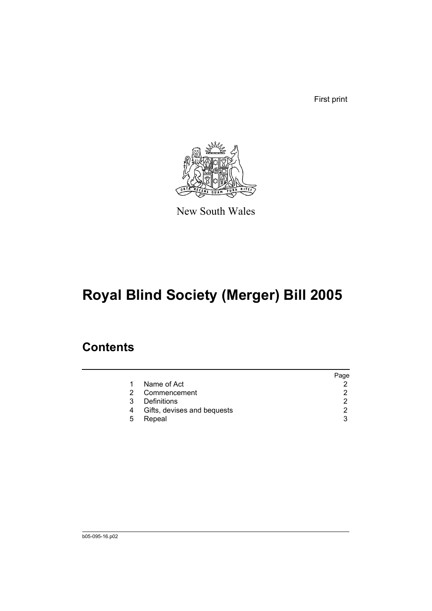First print



New South Wales

# **Royal Blind Society (Merger) Bill 2005**

## **Contents**

|    |                             | Page          |
|----|-----------------------------|---------------|
| 1  | Name of Act                 |               |
| 2. | Commencement                | 2             |
| 3  | Definitions                 | $\mathcal{P}$ |
| 4  | Gifts, devises and bequests | 2             |
| 5  | Repeal                      | 3             |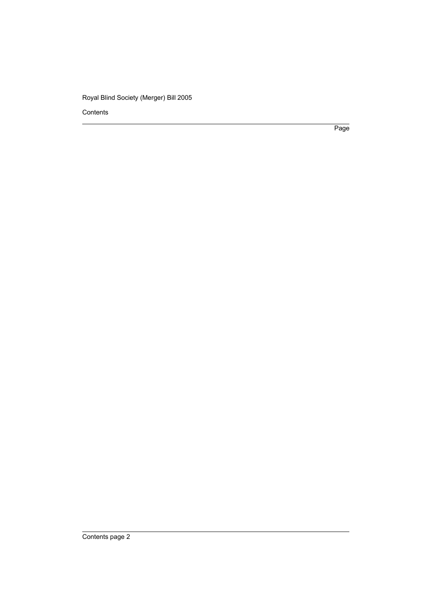Royal Blind Society (Merger) Bill 2005

Contents

Page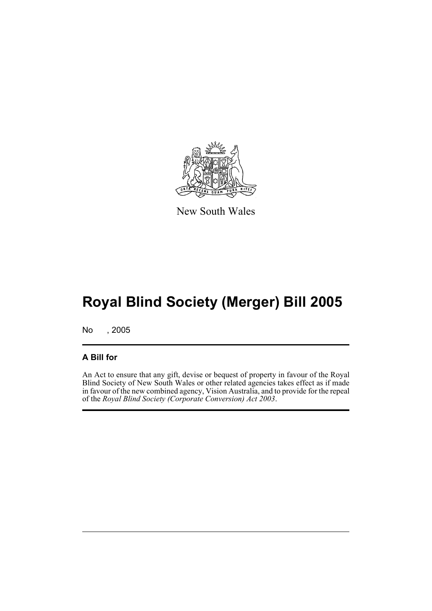

New South Wales

# **Royal Blind Society (Merger) Bill 2005**

No , 2005

#### **A Bill for**

An Act to ensure that any gift, devise or bequest of property in favour of the Royal Blind Society of New South Wales or other related agencies takes effect as if made in favour of the new combined agency, Vision Australia, and to provide for the repeal of the *Royal Blind Society (Corporate Conversion) Act 2003*.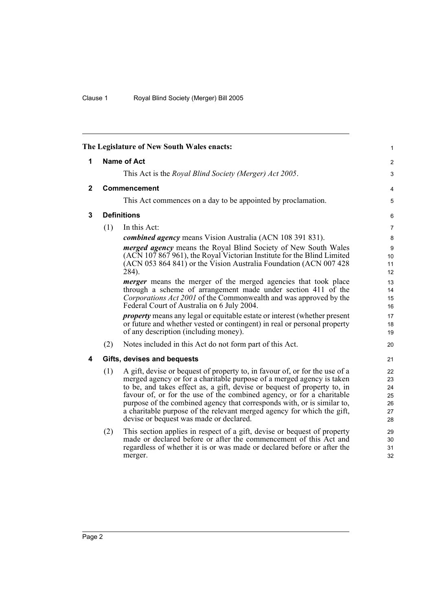| The Legislature of New South Wales enacts: |                     |                                                                                                                                                       | $\mathbf{1}$   |
|--------------------------------------------|---------------------|-------------------------------------------------------------------------------------------------------------------------------------------------------|----------------|
| 1                                          | <b>Name of Act</b>  |                                                                                                                                                       | 2              |
|                                            |                     | This Act is the Royal Blind Society (Merger) Act 2005.                                                                                                | 3              |
| $\mathbf{2}$                               | <b>Commencement</b> |                                                                                                                                                       | 4              |
|                                            |                     | This Act commences on a day to be appointed by proclamation.                                                                                          | 5              |
| 3                                          |                     | <b>Definitions</b>                                                                                                                                    | 6              |
|                                            | (1)                 | In this Act:                                                                                                                                          | $\overline{7}$ |
|                                            |                     | <i>combined agency</i> means Vision Australia (ACN 108 391 831).                                                                                      | 8              |
|                                            |                     | <i>merged agency</i> means the Royal Blind Society of New South Wales                                                                                 | 9              |
|                                            |                     | (ACN 107 867 961), the Royal Victorian Institute for the Blind Limited                                                                                | 10             |
|                                            |                     | (ACN 053 864 841) or the Vision Australia Foundation (ACN 007 428<br>284).                                                                            | 11<br>12       |
|                                            |                     | <i>merger</i> means the merger of the merged agencies that took place                                                                                 | 13             |
|                                            |                     | through a scheme of arrangement made under section 411 of the                                                                                         | 14             |
|                                            |                     | Corporations Act 2001 of the Commonwealth and was approved by the                                                                                     | 15             |
|                                            |                     | Federal Court of Australia on 6 July 2004.                                                                                                            | 16             |
|                                            |                     | property means any legal or equitable estate or interest (whether present<br>or future and whether vested or contingent) in real or personal property | 17<br>18       |
|                                            |                     | of any description (including money).                                                                                                                 | 19             |
|                                            | (2)                 | Notes included in this Act do not form part of this Act.                                                                                              | 20             |
| 4                                          |                     | Gifts, devises and bequests                                                                                                                           | 21             |
|                                            | (1)                 | A gift, devise or bequest of property to, in favour of, or for the use of a                                                                           | 22             |
|                                            |                     | merged agency or for a charitable purpose of a merged agency is taken                                                                                 | 23             |
|                                            |                     | to be, and takes effect as, a gift, devise or bequest of property to, in<br>favour of, or for the use of the combined agency, or for a charitable     | 24<br>25       |
|                                            |                     | purpose of the combined agency that corresponds with, or is similar to,                                                                               | 26             |
|                                            |                     | a charitable purpose of the relevant merged agency for which the gift,                                                                                | 27             |
|                                            |                     | devise or bequest was made or declared.                                                                                                               | 28             |
|                                            | (2)                 | This section applies in respect of a gift, devise or bequest of property                                                                              | 29             |
|                                            |                     | made or declared before or after the commencement of this Act and                                                                                     | 30             |
|                                            |                     | regardless of whether it is or was made or declared before or after the                                                                               | 31             |
|                                            |                     | merger.                                                                                                                                               | 32             |